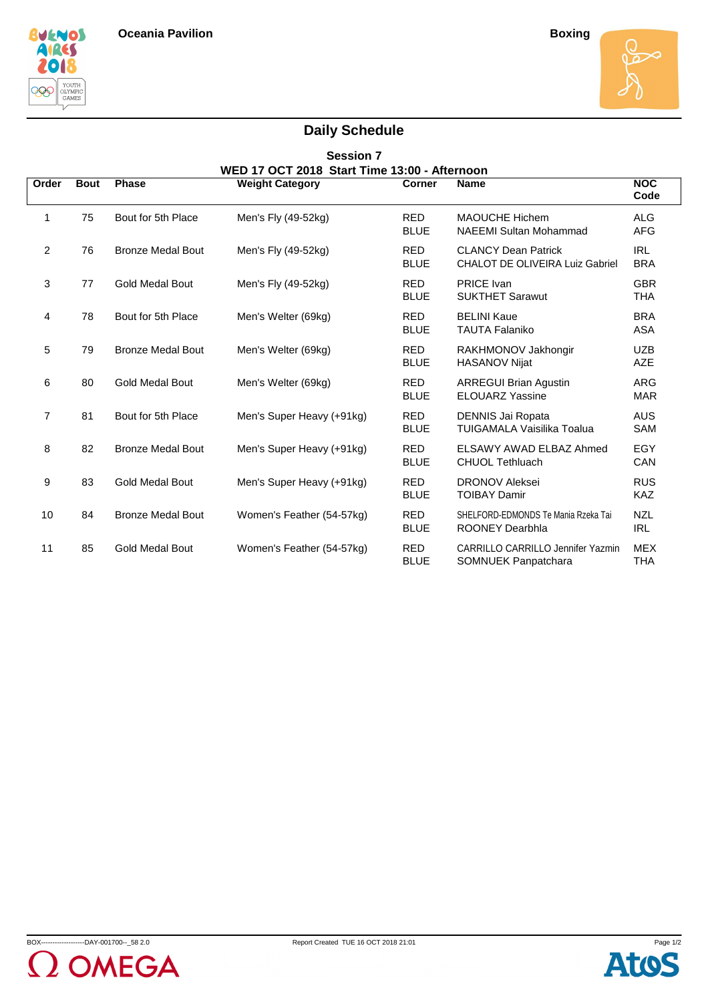





## **Daily Schedule**

| <b>Session 7</b> |             |                          |                                                                        |                           |                                                                 |                          |  |  |  |  |  |
|------------------|-------------|--------------------------|------------------------------------------------------------------------|---------------------------|-----------------------------------------------------------------|--------------------------|--|--|--|--|--|
| Order            | <b>Bout</b> | <b>Phase</b>             | WED 17 OCT 2018 Start Time 13:00 - Afternoon<br><b>Weight Category</b> | <b>Corner</b>             | <b>Name</b>                                                     | <b>NOC</b><br>Code       |  |  |  |  |  |
| $\mathbf{1}$     | 75          | Bout for 5th Place       | Men's Fly (49-52kg)                                                    | <b>RED</b><br><b>BLUE</b> | <b>MAOUCHE Hichem</b><br><b>NAEEMI Sultan Mohammad</b>          | <b>ALG</b><br><b>AFG</b> |  |  |  |  |  |
| $\overline{2}$   | 76          | <b>Bronze Medal Bout</b> | Men's Fly (49-52kg)                                                    | <b>RED</b><br><b>BLUE</b> | <b>CLANCY Dean Patrick</b><br>CHALOT DE OLIVEIRA Luiz Gabriel   | <b>IRL</b><br><b>BRA</b> |  |  |  |  |  |
| 3                | 77          | <b>Gold Medal Bout</b>   | Men's Fly (49-52kg)                                                    | <b>RED</b><br><b>BLUE</b> | <b>PRICE Ivan</b><br><b>SUKTHET Sarawut</b>                     | <b>GBR</b><br><b>THA</b> |  |  |  |  |  |
| 4                | 78          | Bout for 5th Place       | Men's Welter (69kg)                                                    | <b>RED</b><br><b>BLUE</b> | <b>BELINI Kaue</b><br><b>TAUTA Falaniko</b>                     | <b>BRA</b><br><b>ASA</b> |  |  |  |  |  |
| 5                | 79          | <b>Bronze Medal Bout</b> | Men's Welter (69kg)                                                    | <b>RED</b><br><b>BLUE</b> | RAKHMONOV Jakhongir<br><b>HASANOV Nijat</b>                     | <b>UZB</b><br><b>AZE</b> |  |  |  |  |  |
| 6                | 80          | <b>Gold Medal Bout</b>   | Men's Welter (69kg)                                                    | <b>RED</b><br><b>BLUE</b> | <b>ARREGUI Brian Agustin</b><br><b>ELOUARZ Yassine</b>          | <b>ARG</b><br><b>MAR</b> |  |  |  |  |  |
| 7                | 81          | Bout for 5th Place       | Men's Super Heavy (+91kg)                                              | <b>RED</b><br><b>BLUE</b> | DENNIS Jai Ropata<br>TUIGAMALA Vaisilika Toalua                 | <b>AUS</b><br>SAM        |  |  |  |  |  |
| 8                | 82          | <b>Bronze Medal Bout</b> | Men's Super Heavy (+91kg)                                              | <b>RED</b><br><b>BLUE</b> | ELSAWY AWAD ELBAZ Ahmed<br><b>CHUOL Tethluach</b>               | EGY<br><b>CAN</b>        |  |  |  |  |  |
| 9                | 83          | <b>Gold Medal Bout</b>   | Men's Super Heavy (+91kg)                                              | <b>RED</b><br><b>BLUE</b> | <b>DRONOV Aleksei</b><br><b>TOIBAY Damir</b>                    | <b>RUS</b><br><b>KAZ</b> |  |  |  |  |  |
| 10               | 84          | <b>Bronze Medal Bout</b> | Women's Feather (54-57kg)                                              | <b>RED</b><br><b>BLUE</b> | SHELFORD-EDMONDS Te Mania Rzeka Tai<br>ROONEY Dearbhla          | <b>NZL</b><br><b>IRL</b> |  |  |  |  |  |
| 11               | 85          | <b>Gold Medal Bout</b>   | Women's Feather (54-57kg)                                              | <b>RED</b><br><b>BLUE</b> | <b>CARRILLO CARRILLO Jennifer Yazmin</b><br>SOMNUEK Panpatchara | <b>MEX</b><br><b>THA</b> |  |  |  |  |  |